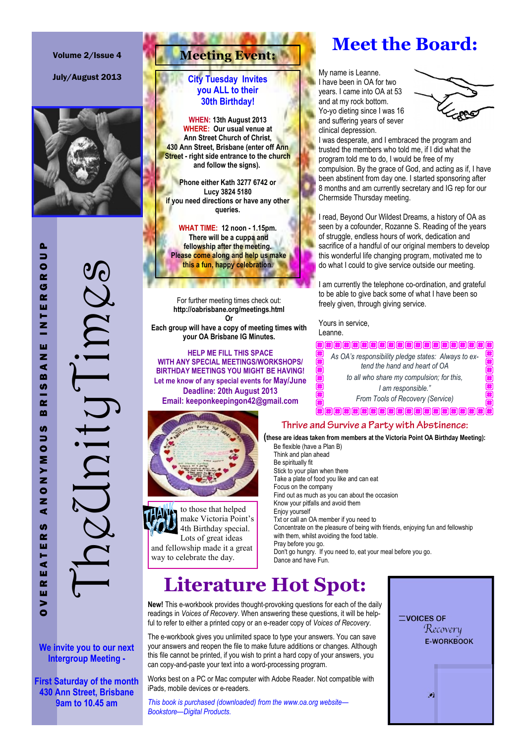#### Volume 2/Issue 4

July/August 2013



TheUnityTimes  $\bigcup$ 

**We invite you to our next Intergroup Meeting -**

**First Saturday of the month 430 Ann Street, Brisbane 9am to 10.45 am**

## **Meeting Event:**

#### **City Tuesday Invites you ALL to their 30th Birthday!**

**WHEN: 13th August 2013 WHERE: Our usual venue at Ann Street Church of Christ, 430 Ann Street, Brisbane (enter off Ann Street - right side entrance to the church and follow the signs).**

**Phone either Kath 3277 6742 or Lucy 3824 5180 if you need directions or have any other queries.**

**WHAT TIME: 12 noon - 1.15pm. There will be a cuppa and fellowship after the meeting. Please come along and help us make this a fun, happy celebration.**

For further meeting times check out: **http://oabrisbane.org/meetings.html Or Each group will have a copy of meeting times with**

**your OA Brisbane IG Minutes.**

**HELP ME FILL THIS SPACE WITH ANY SPECIAL MEETINGS/WORKSHOPS/ BIRTHDAY MEETINGS YOU MIGHT BE HAVING! Let me know of any special events for May/June Deadline: 20th August 2013 Email: keeponkeepingon42@gmail.com**



to those that helped make Victoria Point's 4th Birthday special. Lots of great ideas and fellowship made it a great way to celebrate the day.

## **Meet the Board:**

My name is Leanne. I have been in OA for two years. I came into OA at 53 and at my rock bottom. Yo-yo dieting since I was 16 and suffering years of sever clinical depression.



I was desperate, and I embraced the program and trusted the members who told me, if I did what the program told me to do, I would be free of my compulsion. By the grace of God, and acting as if, I have been abstinent from day one. I started sponsoring after 8 months and am currently secretary and IG rep for our Chermside Thursday meeting.

I read, Beyond Our Wildest Dreams, a history of OA as seen by a cofounder, Rozanne S. Reading of the years of struggle, endless hours of work, dedication and sacrifice of a handful of our original members to develop this wonderful life changing program, motivated me to do what I could to give service outside our meeting.

I am currently the telephone co-ordination, and grateful to be able to give back some of what I have been so freely given, through giving service.

Yours in service, Leanne.

*As OA's responsibility pledge states: Always to extend the hand and heart of OA to all who share my compulsion; for this, I am responsible." From Tools of Recovery (Service)*

#### Thrive and Survive a Party with Abstinence:

**(these are ideas taken from members at the Victoria Point OA Birthday Meeting):** 

Be flexible (have a Plan B) Think and plan ahead Be spiritually fit Stick to your plan when there Take a plate of food you like and can eat Focus on the company Find out as much as you can about the occasion Know your pitfalls and avoid them Enjoy yourself Txt or call an OA member if you need to Concentrate on the pleasure of being with friends, enjoying fun and fellowship with them, whilst avoiding the food table. Pray before you go. Don't go hungry. If you need to, eat your meal before you go. Dance and have Fun.

# **Literature Hot Spot:**

**New!** This e-workbook provides thought-provoking questions for each of the daily readings in *Voices of Recovery*. When answering these questions, it will be helpful to refer to either a printed copy or an e-reader copy of *Voices of Recovery*.

The e-workbook gives you unlimited space to type your answers. You can save your answers and reopen the file to make future additions or changes. Although this file cannot be printed, if you wish to print a hard copy of your answers, you can copy-and-paste your text into a word-processing program.

Works best on a PC or Mac computer with Adobe Reader. Not compatible with iPads, mobile devices or e-readers.

*This book is purchased (downloaded) from the www.oa.org website— Bookstore—Digital Products.*